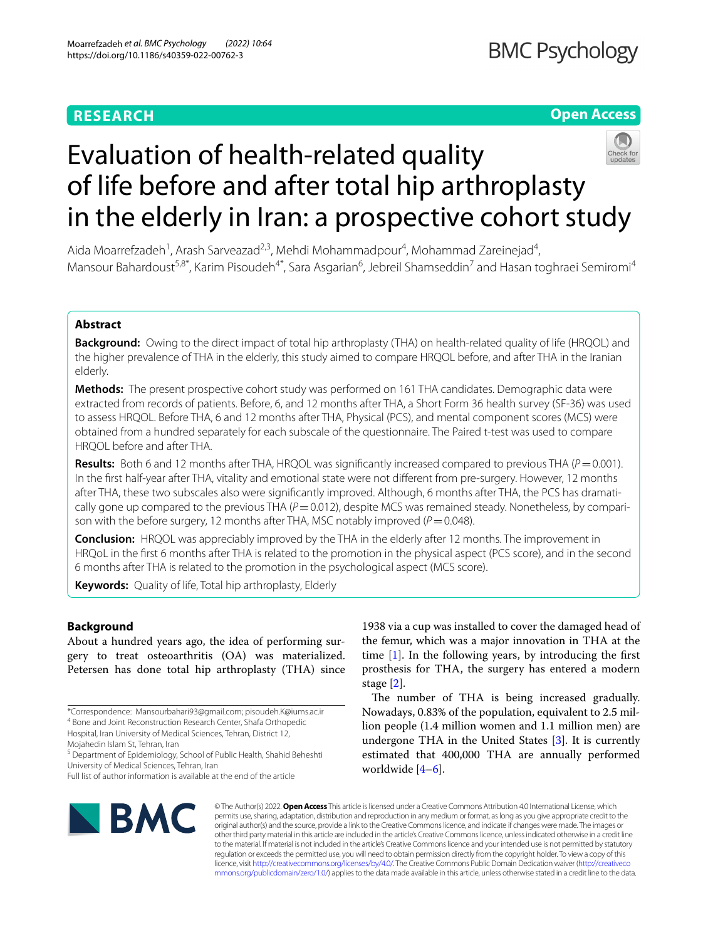# **RESEARCH**

## **Open Access**



# Evaluation of health-related quality of life before and after total hip arthroplasty in the elderly in Iran: a prospective cohort study

Aida Moarrefzadeh<sup>1</sup>, Arash Sarveazad<sup>2,3</sup>, Mehdi Mohammadpour<sup>4</sup>, Mohammad Zareinejad<sup>4</sup>, Mansour Bahardoust<sup>5,8\*</sup>, Karim Pisoudeh<sup>4\*</sup>, Sara Asgarian<sup>6</sup>, Jebreil Shamseddin<sup>7</sup> and Hasan toghraei Semiromi<sup>4</sup>

## **Abstract**

**Background:** Owing to the direct impact of total hip arthroplasty (THA) on health-related quality of life (HRQOL) and the higher prevalence of THA in the elderly, this study aimed to compare HRQOL before, and after THA in the Iranian elderly.

**Methods:** The present prospective cohort study was performed on 161 THA candidates. Demographic data were extracted from records of patients. Before, 6, and 12 months after THA, a Short Form 36 health survey (SF-36) was used to assess HRQOL. Before THA, 6 and 12 months after THA, Physical (PCS), and mental component scores (MCS) were obtained from a hundred separately for each subscale of the questionnaire. The Paired t-test was used to compare HRQOL before and after THA.

**Results:** Both 6 and 12 months after THA, HRQOL was significantly increased compared to previous THA ( $P=0.001$ ). In the frst half-year after THA, vitality and emotional state were not diferent from pre-surgery. However, 12 months after THA, these two subscales also were signifcantly improved. Although, 6 months after THA, the PCS has dramatically gone up compared to the previous THA  $(P=0.012)$ , despite MCS was remained steady. Nonetheless, by comparison with the before surgery, 12 months after THA, MSC notably improved ( $P=0.048$ ).

**Conclusion:** HRQOL was appreciably improved by the THA in the elderly after 12 months. The improvement in HRQoL in the frst 6 months after THA is related to the promotion in the physical aspect (PCS score), and in the second 6 months after THA is related to the promotion in the psychological aspect (MCS score).

**Keywords:** Quality of life, Total hip arthroplasty, Elderly

## **Background**

About a hundred years ago, the idea of performing surgery to treat osteoarthritis (OA) was materialized. Petersen has done total hip arthroplasty (THA) since

1938 via a cup was installed to cover the damaged head of the femur, which was a major innovation in THA at the time  $[1]$  $[1]$ . In the following years, by introducing the first prosthesis for THA, the surgery has entered a modern stage [[2\]](#page-6-1).

The number of THA is being increased gradually. Nowadays, 0.83% of the population, equivalent to 2.5 million people (1.4 million women and 1.1 million men) are undergone THA in the United States [[3](#page-6-2)]. It is currently estimated that 400,000 THA are annually performed worldwide [\[4](#page-6-3)[–6](#page-6-4)].



© The Author(s) 2022. **Open Access** This article is licensed under a Creative Commons Attribution 4.0 International License, which permits use, sharing, adaptation, distribution and reproduction in any medium or format, as long as you give appropriate credit to the original author(s) and the source, provide a link to the Creative Commons licence, and indicate if changes were made. The images or other third party material in this article are included in the article's Creative Commons licence, unless indicated otherwise in a credit line to the material. If material is not included in the article's Creative Commons licence and your intended use is not permitted by statutory regulation or exceeds the permitted use, you will need to obtain permission directly from the copyright holder. To view a copy of this licence, visit [http://creativecommons.org/licenses/by/4.0/.](http://creativecommons.org/licenses/by/4.0/) The Creative Commons Public Domain Dedication waiver ([http://creativeco](http://creativecommons.org/publicdomain/zero/1.0/) [mmons.org/publicdomain/zero/1.0/](http://creativecommons.org/publicdomain/zero/1.0/)) applies to the data made available in this article, unless otherwise stated in a credit line to the data.

<sup>\*</sup>Correspondence: Mansourbahari93@gmail.com; pisoudeh.K@iums.ac.ir 4 Bone and Joint Reconstruction Research Center, Shafa Orthopedic Hospital, Iran University of Medical Sciences, Tehran, District 12,

Mojahedin Islam St, Tehran, Iran

<sup>&</sup>lt;sup>5</sup> Department of Epidemiology, School of Public Health, Shahid Beheshti University of Medical Sciences, Tehran, Iran

Full list of author information is available at the end of the article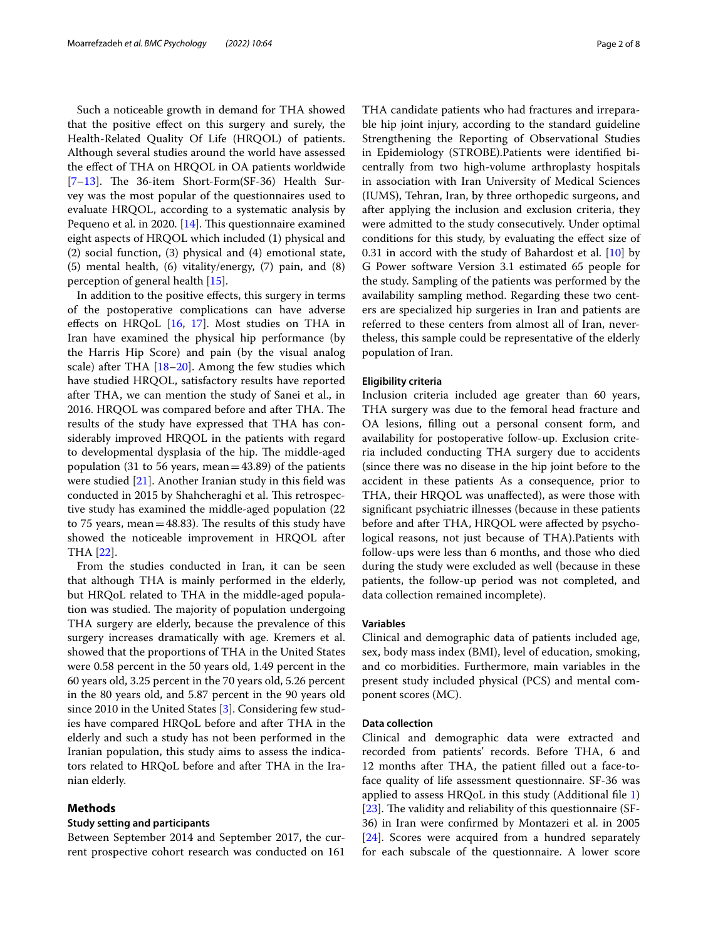Such a noticeable growth in demand for THA showed that the positive efect on this surgery and surely, the Health-Related Quality Of Life (HRQOL) of patients. Although several studies around the world have assessed the efect of THA on HRQOL in OA patients worldwide  $[7-13]$  $[7-13]$ . The 36-item Short-Form(SF-36) Health Survey was the most popular of the questionnaires used to evaluate HRQOL, according to a systematic analysis by Pequeno et al. in 2020. [[14\]](#page-6-7). This questionnaire examined eight aspects of HRQOL which included (1) physical and (2) social function, (3) physical and (4) emotional state, (5) mental health, (6) vitality/energy, (7) pain, and (8) perception of general health [[15\]](#page-6-8).

In addition to the positive efects, this surgery in terms of the postoperative complications can have adverse efects on HRQoL [[16,](#page-6-9) [17\]](#page-6-10). Most studies on THA in Iran have examined the physical hip performance (by the Harris Hip Score) and pain (by the visual analog scale) after THA  $[18–20]$  $[18–20]$  $[18–20]$  $[18–20]$ . Among the few studies which have studied HRQOL, satisfactory results have reported after THA, we can mention the study of Sanei et al., in 2016. HRQOL was compared before and after THA. The results of the study have expressed that THA has considerably improved HRQOL in the patients with regard to developmental dysplasia of the hip. The middle-aged population (31 to 56 years, mean= $43.89$ ) of the patients were studied [[21\]](#page-6-13). Another Iranian study in this feld was conducted in 2015 by Shahcheraghi et al. This retrospective study has examined the middle-aged population (22 to 75 years, mean =  $48.83$ ). The results of this study have showed the noticeable improvement in HRQOL after THA [\[22](#page-6-14)].

From the studies conducted in Iran, it can be seen that although THA is mainly performed in the elderly, but HRQoL related to THA in the middle-aged population was studied. The majority of population undergoing THA surgery are elderly, because the prevalence of this surgery increases dramatically with age. Kremers et al. showed that the proportions of THA in the United States were 0.58 percent in the 50 years old, 1.49 percent in the 60 years old, 3.25 percent in the 70 years old, 5.26 percent in the 80 years old, and 5.87 percent in the 90 years old since 2010 in the United States [[3](#page-6-2)]. Considering few studies have compared HRQoL before and after THA in the elderly and such a study has not been performed in the Iranian population, this study aims to assess the indicators related to HRQoL before and after THA in the Iranian elderly.

## **Methods**

#### **Study setting and participants**

Between September 2014 and September 2017, the current prospective cohort research was conducted on 161 THA candidate patients who had fractures and irreparable hip joint injury, according to the standard guideline Strengthening the Reporting of Observational Studies in Epidemiology (STROBE).Patients were identifed bicentrally from two high-volume arthroplasty hospitals in association with Iran University of Medical Sciences (IUMS), Tehran, Iran, by three orthopedic surgeons, and after applying the inclusion and exclusion criteria, they were admitted to the study consecutively. Under optimal conditions for this study, by evaluating the efect size of 0.31 in accord with the study of Bahardost et al. [[10\]](#page-6-15) by G Power software Version 3.1 estimated 65 people for the study. Sampling of the patients was performed by the availability sampling method. Regarding these two centers are specialized hip surgeries in Iran and patients are referred to these centers from almost all of Iran, nevertheless, this sample could be representative of the elderly population of Iran.

#### **Eligibility criteria**

Inclusion criteria included age greater than 60 years, THA surgery was due to the femoral head fracture and OA lesions, flling out a personal consent form, and availability for postoperative follow-up. Exclusion criteria included conducting THA surgery due to accidents (since there was no disease in the hip joint before to the accident in these patients As a consequence, prior to THA, their HRQOL was unafected), as were those with signifcant psychiatric illnesses (because in these patients before and after THA, HRQOL were afected by psychological reasons, not just because of THA).Patients with follow-ups were less than 6 months, and those who died during the study were excluded as well (because in these patients, the follow-up period was not completed, and data collection remained incomplete).

### **Variables**

Clinical and demographic data of patients included age, sex, body mass index (BMI), level of education, smoking, and co morbidities. Furthermore, main variables in the present study included physical (PCS) and mental component scores (MC).

#### **Data collection**

Clinical and demographic data were extracted and recorded from patients' records. Before THA, 6 and 12 months after THA, the patient flled out a face-toface quality of life assessment questionnaire. SF-36 was applied to assess HRQoL in this study (Additional file  $1$ ) [ $23$ ]. The validity and reliability of this questionnaire (SF-36) in Iran were confrmed by Montazeri et al. in 2005 [[24\]](#page-7-0). Scores were acquired from a hundred separately for each subscale of the questionnaire. A lower score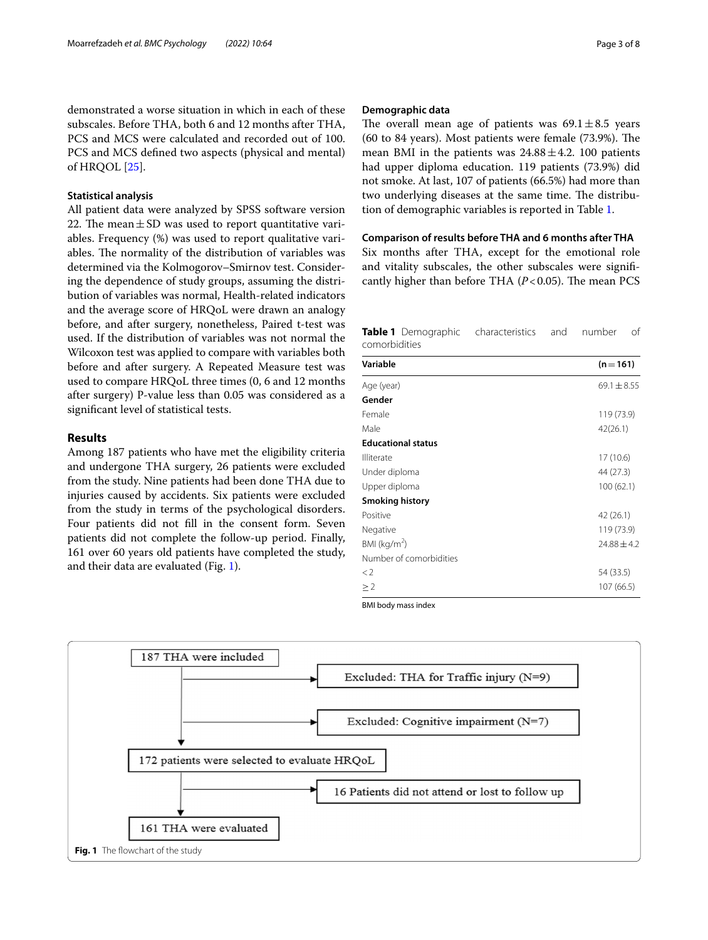demonstrated a worse situation in which in each of these subscales. Before THA, both 6 and 12 months after THA, PCS and MCS were calculated and recorded out of 100. PCS and MCS defned two aspects (physical and mental) of HRQOL [\[25](#page-7-1)].

## **Statistical analysis**

All patient data were analyzed by SPSS software version 22. The mean  $\pm$  SD was used to report quantitative variables. Frequency (%) was used to report qualitative variables. The normality of the distribution of variables was determined via the Kolmogorov–Smirnov test. Considering the dependence of study groups, assuming the distribution of variables was normal, Health-related indicators and the average score of HRQoL were drawn an analogy before, and after surgery, nonetheless, Paired t-test was used. If the distribution of variables was not normal the Wilcoxon test was applied to compare with variables both before and after surgery. A Repeated Measure test was used to compare HRQoL three times (0, 6 and 12 months after surgery) P-value less than 0.05 was considered as a signifcant level of statistical tests.

## **Results**

Among 187 patients who have met the eligibility criteria and undergone THA surgery, 26 patients were excluded from the study. Nine patients had been done THA due to injuries caused by accidents. Six patients were excluded from the study in terms of the psychological disorders. Four patients did not fll in the consent form. Seven patients did not complete the follow-up period. Finally, 161 over 60 years old patients have completed the study, and their data are evaluated (Fig. [1](#page-2-0)).

## **Demographic data**

The overall mean age of patients was  $69.1 \pm 8.5$  years (60 to 84 years). Most patients were female  $(73.9\%)$ . The mean BMI in the patients was  $24.88 \pm 4.2$ . 100 patients had upper diploma education. 119 patients (73.9%) did not smoke. At last, 107 of patients (66.5%) had more than two underlying diseases at the same time. The distribution of demographic variables is reported in Table [1.](#page-2-1)

## **Comparison of results before THA and 6 months after THA**

Six months after THA, except for the emotional role and vitality subscales, the other subscales were signifcantly higher than before THA  $(P<0.05)$ . The mean PCS

<span id="page-2-1"></span>**Table 1** Demographic characteristics and number of comorbidities

| Variable                  | $(n=161)$       |
|---------------------------|-----------------|
| Age (year)                | $69.1 \pm 8.55$ |
| Gender                    |                 |
| Female                    | 119 (73.9)      |
| Male                      | 42(26.1)        |
| <b>Educational status</b> |                 |
| Illiterate                | 17 (10.6)       |
| Under diploma             | 44 (27.3)       |
| Upper diploma             | 100(62.1)       |
| <b>Smoking history</b>    |                 |
| Positive                  | 42 (26.1)       |
| Negative                  | 119 (73.9)      |
| BMI ( $kg/m2$ )           | $24.88 \pm 4.2$ |
| Number of comorbidities   |                 |
| $\lt 2$                   | 54 (33.5)       |
| $\geq$ 2                  | 107(66.5)       |

BMI body mass index

<span id="page-2-0"></span>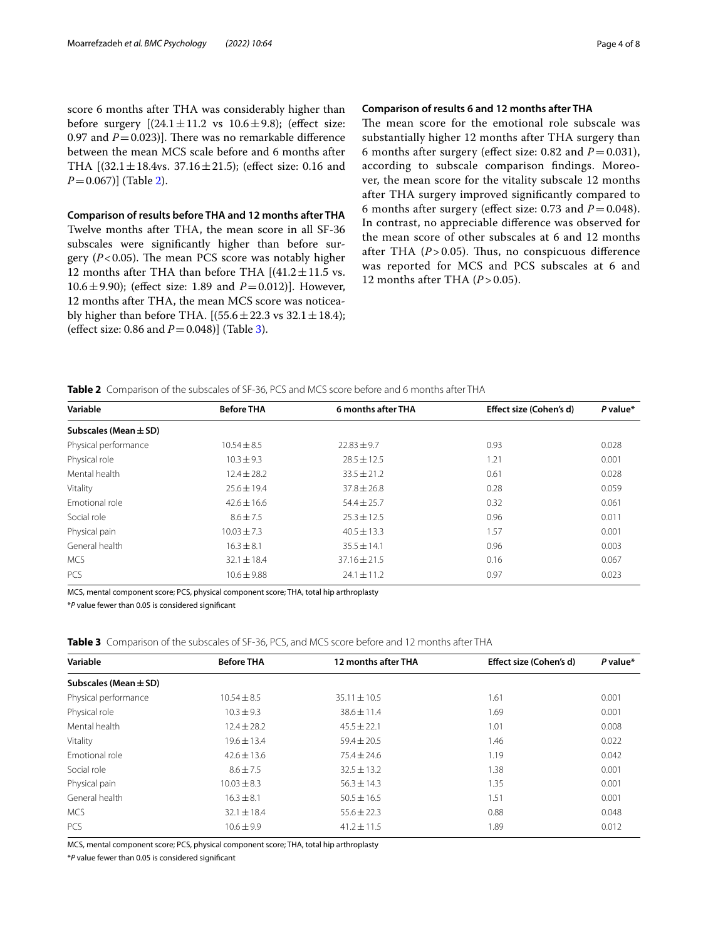score 6 months after THA was considerably higher than before surgery  $[(24.1 \pm 11.2 \text{ vs } 10.6 \pm 9.8)]$ ; (effect size: 0.97 and  $P=0.023$ ]. There was no remarkable difference between the mean MCS scale before and 6 months after THA  $[(32.1 \pm 18.4 \text{vs. } 37.16 \pm 21.5);$  (effect size: 0.16 and *P*=0.067)] (Table [2\)](#page-3-0).

**Comparison of results before THA and 12 months after THA** Twelve months after THA, the mean score in all SF-36 subscales were signifcantly higher than before surgery  $(P<0.05)$ . The mean PCS score was notably higher 12 months after THA than before THA  $[(41.2 \pm 11.5 \text{ vs.})]$ 10.6 $\pm$ 9.90); (effect size: 1.89 and *P* = 0.012)]. However, 12 months after THA, the mean MCS score was noticeably higher than before THA.  $[(55.6 \pm 22.3 \text{ vs } 32.1 \pm 18.4);$ (efect size: 0.86 and *P*=0.048)] (Table [3](#page-3-1)).

## **Comparison of results 6 and 12 months after THA**

The mean score for the emotional role subscale was substantially higher 12 months after THA surgery than 6 months after surgery (effect size: 0.82 and  $P = 0.031$ ), according to subscale comparison fndings. Moreover, the mean score for the vitality subscale 12 months after THA surgery improved signifcantly compared to 6 months after surgery (effect size: 0.73 and  $P = 0.048$ ). In contrast, no appreciable diference was observed for the mean score of other subscales at 6 and 12 months after THA  $(P > 0.05)$ . Thus, no conspicuous difference was reported for MCS and PCS subscales at 6 and 12 months after THA ( $P > 0.05$ ).

<span id="page-3-0"></span>

| Table 2 Comparison of the subscales of SF-36, PCS and MCS score before and 6 months after THA |  |
|-----------------------------------------------------------------------------------------------|--|
|-----------------------------------------------------------------------------------------------|--|

| Variable                  | <b>Before THA</b> | 6 months after THA | Effect size (Cohen's d) | $P$ value* |
|---------------------------|-------------------|--------------------|-------------------------|------------|
| Subscales (Mean $\pm$ SD) |                   |                    |                         |            |
| Physical performance      | $10.54 + 8.5$     | $22.83 \pm 9.7$    | 0.93                    | 0.028      |
| Physical role             | $10.3 + 9.3$      | $78.5 + 12.5$      | 1.21                    | 0.001      |
| Mental health             | $12.4 \pm 28.2$   | $33.5 \pm 21.2$    | 0.61                    | 0.028      |
| Vitality                  | $25.6 \pm 19.4$   | $37.8 \pm 26.8$    | 0.28                    | 0.059      |
| Emotional role            | $42.6 \pm 16.6$   | $54.4 \pm 25.7$    | 0.32                    | 0.061      |
| Social role               | $8.6 + 7.5$       | $25.3 + 12.5$      | 0.96                    | 0.011      |
| Physical pain             | $10.03 + 7.3$     | $40.5 + 13.3$      | 1.57                    | 0.001      |
| General health            | $16.3 + 8.1$      | $35.5 + 14.1$      | 0.96                    | 0.003      |
| <b>MCS</b>                | $32.1 \pm 18.4$   | $37.16 \pm 21.5$   | 0.16                    | 0.067      |
| <b>PCS</b>                | $10.6 \pm 9.88$   | $24.1 \pm 11.2$    | 0.97                    | 0.023      |

MCS, mental component score; PCS, physical component score; THA, total hip arthroplasty

\**P* value fewer than 0.05 is considered signifcant

<span id="page-3-1"></span>**Table 3** Comparison of the subscales of SF-36, PCS, and MCS score before and 12 months after THA

| Variable                  | <b>Before THA</b> | 12 months after THA | Effect size (Cohen's d) | P value* |
|---------------------------|-------------------|---------------------|-------------------------|----------|
| Subscales (Mean $\pm$ SD) |                   |                     |                         |          |
| Physical performance      | $10.54 \pm 8.5$   | $35.11 \pm 10.5$    | 1.61                    | 0.001    |
| Physical role             | $10.3 \pm 9.3$    | $38.6 \pm 11.4$     | 1.69                    | 0.001    |
| Mental health             | $12.4 \pm 28.2$   | $45.5 \pm 22.1$     | 1.01                    | 0.008    |
| Vitality                  | $19.6 \pm 13.4$   | $59.4 \pm 20.5$     | 1.46                    | 0.022    |
| Emotional role            | $42.6 \pm 13.6$   | $75.4 \pm 24.6$     | 1.19                    | 0.042    |
| Social role               | $8.6 + 7.5$       | $32.5 \pm 13.2$     | 1.38                    | 0.001    |
| Physical pain             | $10.03 \pm 8.3$   | $56.3 \pm 14.3$     | 1.35                    | 0.001    |
| General health            | $16.3 \pm 8.1$    | $50.5 \pm 16.5$     | 1.51                    | 0.001    |
| <b>MCS</b>                | $32.1 \pm 18.4$   | $55.6 \pm 22.3$     | 0.88                    | 0.048    |
| <b>PCS</b>                | $10.6 \pm 9.9$    | $41.2 \pm 11.5$     | 1.89                    | 0.012    |

MCS, mental component score; PCS, physical component score; THA, total hip arthroplasty

\**P* value fewer than 0.05 is considered signifcant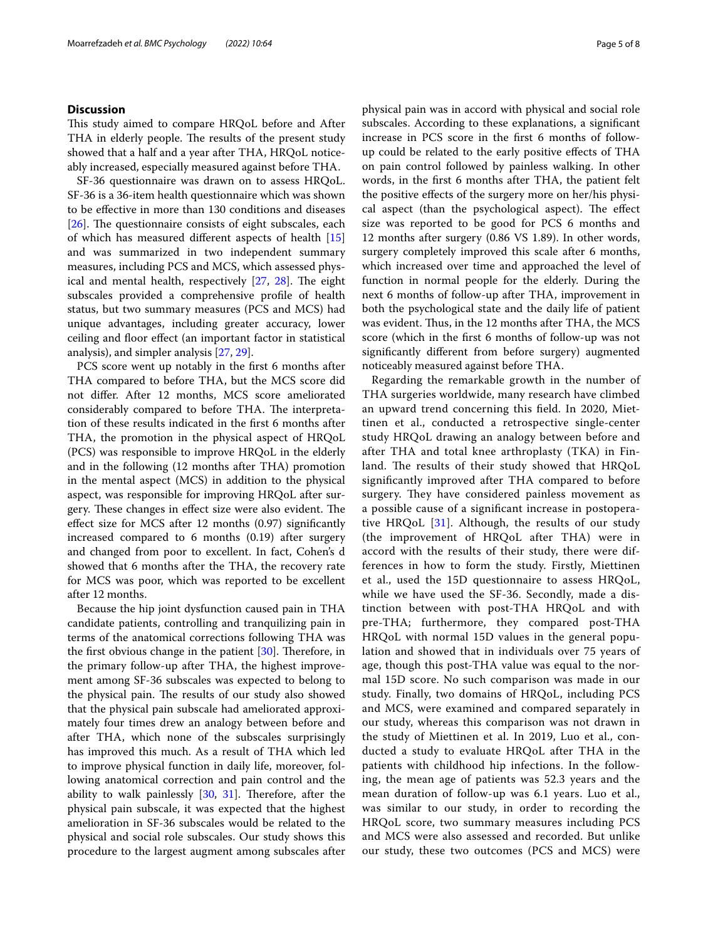## **Discussion**

This study aimed to compare HRQoL before and After THA in elderly people. The results of the present study showed that a half and a year after THA, HRQoL noticeably increased, especially measured against before THA.

SF-36 questionnaire was drawn on to assess HRQoL. SF-36 is a 36-item health questionnaire which was shown to be efective in more than 130 conditions and diseases [ $26$ ]. The questionnaire consists of eight subscales, each of which has measured diferent aspects of health [[15](#page-6-8)] and was summarized in two independent summary measures, including PCS and MCS, which assessed physical and mental health, respectively  $[27, 28]$  $[27, 28]$  $[27, 28]$  $[27, 28]$ . The eight subscales provided a comprehensive profle of health status, but two summary measures (PCS and MCS) had unique advantages, including greater accuracy, lower ceiling and foor efect (an important factor in statistical analysis), and simpler analysis [[27,](#page-7-3) [29](#page-7-5)].

PCS score went up notably in the frst 6 months after THA compared to before THA, but the MCS score did not difer. After 12 months, MCS score ameliorated considerably compared to before THA. The interpretation of these results indicated in the frst 6 months after THA, the promotion in the physical aspect of HRQoL (PCS) was responsible to improve HRQoL in the elderly and in the following (12 months after THA) promotion in the mental aspect (MCS) in addition to the physical aspect, was responsible for improving HRQoL after surgery. These changes in effect size were also evident. The efect size for MCS after 12 months (0.97) signifcantly increased compared to 6 months (0.19) after surgery and changed from poor to excellent. In fact, Cohen's d showed that 6 months after the THA, the recovery rate for MCS was poor, which was reported to be excellent after 12 months.

Because the hip joint dysfunction caused pain in THA candidate patients, controlling and tranquilizing pain in terms of the anatomical corrections following THA was the first obvious change in the patient  $[30]$  $[30]$  $[30]$ . Therefore, in the primary follow-up after THA, the highest improvement among SF-36 subscales was expected to belong to the physical pain. The results of our study also showed that the physical pain subscale had ameliorated approximately four times drew an analogy between before and after THA, which none of the subscales surprisingly has improved this much. As a result of THA which led to improve physical function in daily life, moreover, following anatomical correction and pain control and the ability to walk painlessly  $[30, 31]$  $[30, 31]$  $[30, 31]$  $[30, 31]$  $[30, 31]$ . Therefore, after the physical pain subscale, it was expected that the highest amelioration in SF-36 subscales would be related to the physical and social role subscales. Our study shows this procedure to the largest augment among subscales after

physical pain was in accord with physical and social role subscales. According to these explanations, a signifcant increase in PCS score in the frst 6 months of followup could be related to the early positive efects of THA on pain control followed by painless walking. In other words, in the frst 6 months after THA, the patient felt the positive efects of the surgery more on her/his physical aspect (than the psychological aspect). The effect size was reported to be good for PCS 6 months and 12 months after surgery (0.86 VS 1.89). In other words, surgery completely improved this scale after 6 months, which increased over time and approached the level of function in normal people for the elderly. During the next 6 months of follow-up after THA, improvement in both the psychological state and the daily life of patient was evident. Thus, in the 12 months after THA, the MCS score (which in the frst 6 months of follow-up was not signifcantly diferent from before surgery) augmented noticeably measured against before THA.

Regarding the remarkable growth in the number of THA surgeries worldwide, many research have climbed an upward trend concerning this feld. In 2020, Miettinen et al., conducted a retrospective single-center study HRQoL drawing an analogy between before and after THA and total knee arthroplasty (TKA) in Finland. The results of their study showed that HRQoL signifcantly improved after THA compared to before surgery. They have considered painless movement as a possible cause of a signifcant increase in postoperative HRQoL [[31\]](#page-7-7). Although, the results of our study (the improvement of HRQoL after THA) were in accord with the results of their study, there were differences in how to form the study. Firstly, Miettinen et al., used the 15D questionnaire to assess HRQoL, while we have used the SF-36. Secondly, made a distinction between with post-THA HRQoL and with pre-THA; furthermore, they compared post-THA HRQoL with normal 15D values in the general population and showed that in individuals over 75 years of age, though this post-THA value was equal to the normal 15D score. No such comparison was made in our study. Finally, two domains of HRQoL, including PCS and MCS, were examined and compared separately in our study, whereas this comparison was not drawn in the study of Miettinen et al. In 2019, Luo et al., conducted a study to evaluate HRQoL after THA in the patients with childhood hip infections. In the following, the mean age of patients was 52.3 years and the mean duration of follow-up was 6.1 years. Luo et al., was similar to our study, in order to recording the HRQoL score, two summary measures including PCS and MCS were also assessed and recorded. But unlike our study, these two outcomes (PCS and MCS) were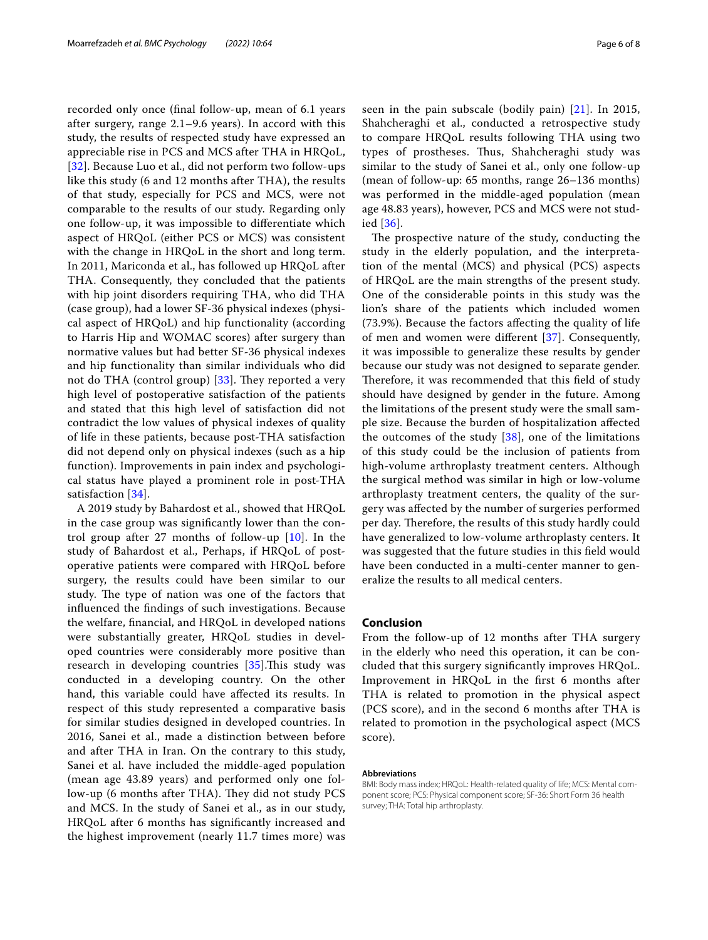recorded only once (fnal follow-up, mean of 6.1 years after surgery, range 2.1–9.6 years). In accord with this study, the results of respected study have expressed an appreciable rise in PCS and MCS after THA in HRQoL, [[32](#page-7-8)]. Because Luo et al., did not perform two follow-ups like this study (6 and 12 months after THA), the results of that study, especially for PCS and MCS, were not comparable to the results of our study. Regarding only one follow-up, it was impossible to diferentiate which aspect of HRQoL (either PCS or MCS) was consistent with the change in HRQoL in the short and long term. In 2011, Mariconda et al., has followed up HRQoL after THA. Consequently, they concluded that the patients with hip joint disorders requiring THA, who did THA (case group), had a lower SF-36 physical indexes (physical aspect of HRQoL) and hip functionality (according to Harris Hip and WOMAC scores) after surgery than normative values but had better SF-36 physical indexes and hip functionality than similar individuals who did not do THA (control group)  $[33]$  $[33]$ . They reported a very high level of postoperative satisfaction of the patients and stated that this high level of satisfaction did not contradict the low values of physical indexes of quality of life in these patients, because post-THA satisfaction did not depend only on physical indexes (such as a hip function). Improvements in pain index and psychological status have played a prominent role in post-THA satisfaction [\[34\]](#page-7-10).

A 2019 study by Bahardost et al., showed that HRQoL in the case group was signifcantly lower than the control group after 27 months of follow-up [\[10](#page-6-15)]. In the study of Bahardost et al., Perhaps, if HRQoL of postoperative patients were compared with HRQoL before surgery, the results could have been similar to our study. The type of nation was one of the factors that infuenced the fndings of such investigations. Because the welfare, fnancial, and HRQoL in developed nations were substantially greater, HRQoL studies in developed countries were considerably more positive than research in developing countries  $[35]$  $[35]$ . This study was conducted in a developing country. On the other hand, this variable could have afected its results. In respect of this study represented a comparative basis for similar studies designed in developed countries. In 2016, Sanei et al., made a distinction between before and after THA in Iran. On the contrary to this study, Sanei et al. have included the middle-aged population (mean age 43.89 years) and performed only one follow-up (6 months after THA). They did not study PCS and MCS. In the study of Sanei et al., as in our study, HRQoL after 6 months has signifcantly increased and the highest improvement (nearly 11.7 times more) was seen in the pain subscale (bodily pain) [[21](#page-6-13)]. In 2015, Shahcheraghi et al., conducted a retrospective study to compare HRQoL results following THA using two types of prostheses. Thus, Shahcheraghi study was similar to the study of Sanei et al., only one follow-up (mean of follow-up: 65 months, range 26–136 months) was performed in the middle-aged population (mean age 48.83 years), however, PCS and MCS were not studied [\[36\]](#page-7-12).

The prospective nature of the study, conducting the study in the elderly population, and the interpretation of the mental (MCS) and physical (PCS) aspects of HRQoL are the main strengths of the present study. One of the considerable points in this study was the lion's share of the patients which included women (73.9%). Because the factors afecting the quality of life of men and women were diferent [\[37](#page-7-13)]. Consequently, it was impossible to generalize these results by gender because our study was not designed to separate gender. Therefore, it was recommended that this field of study should have designed by gender in the future. Among the limitations of the present study were the small sample size. Because the burden of hospitalization afected the outcomes of the study  $[38]$  $[38]$ , one of the limitations of this study could be the inclusion of patients from high-volume arthroplasty treatment centers. Although the surgical method was similar in high or low-volume arthroplasty treatment centers, the quality of the surgery was afected by the number of surgeries performed per day. Therefore, the results of this study hardly could have generalized to low-volume arthroplasty centers. It was suggested that the future studies in this feld would have been conducted in a multi-center manner to generalize the results to all medical centers.

#### **Conclusion**

From the follow-up of 12 months after THA surgery in the elderly who need this operation, it can be concluded that this surgery signifcantly improves HRQoL. Improvement in HRQoL in the frst 6 months after THA is related to promotion in the physical aspect (PCS score), and in the second 6 months after THA is related to promotion in the psychological aspect (MCS score).

#### **Abbreviations**

BMI: Body mass index; HRQoL: Health-related quality of life; MCS: Mental component score; PCS: Physical component score; SF-36: Short Form 36 health survey; THA: Total hip arthroplasty.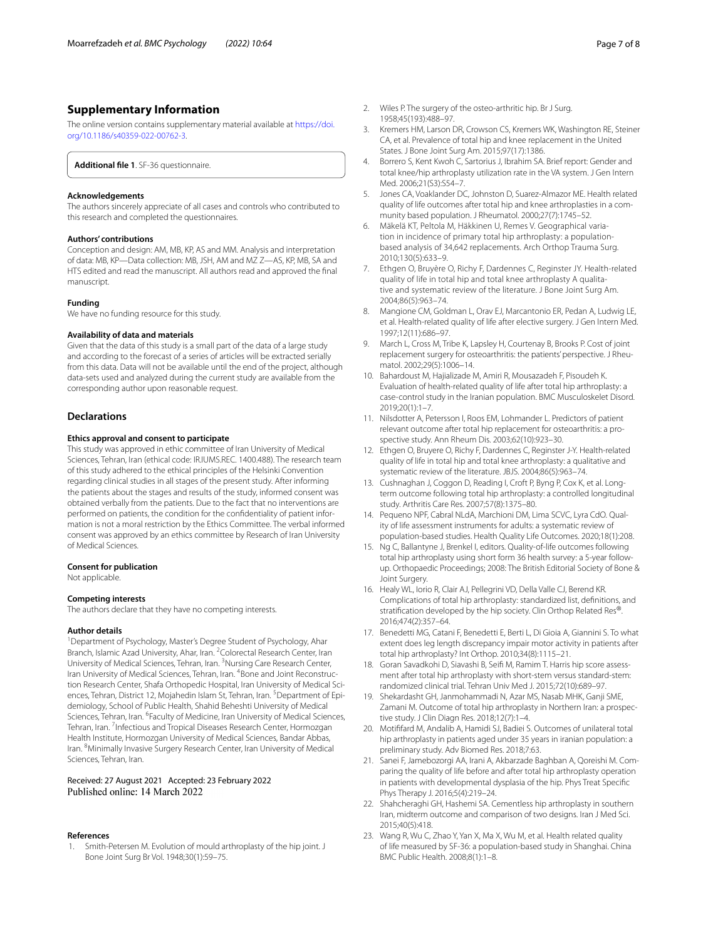## **Supplementary Information**

The online version contains supplementary material available at [https://doi.](https://doi.org/10.1186/s40359-022-00762-3) [org/10.1186/s40359-022-00762-3](https://doi.org/10.1186/s40359-022-00762-3).

<span id="page-6-16"></span>**Additional fle 1**. SF-36 questionnaire.

#### **Acknowledgements**

The authors sincerely appreciate of all cases and controls who contributed to this research and completed the questionnaires.

#### **Authors' contributions**

Conception and design: AM, MB, KP, AS and MM. Analysis and interpretation of data: MB, KP—Data collection: MB, JSH, AM and MZ Z—AS, KP, MB, SA and HTS edited and read the manuscript. All authors read and approved the fnal manuscript.

#### **Funding**

We have no funding resource for this study.

#### **Availability of data and materials**

Given that the data of this study is a small part of the data of a large study and according to the forecast of a series of articles will be extracted serially from this data. Data will not be available until the end of the project, although data-sets used and analyzed during the current study are available from the corresponding author upon reasonable request.

#### **Declarations**

#### **Ethics approval and consent to participate**

This study was approved in ethic committee of Iran University of Medical Sciences, Tehran, Iran (ethical code: IR.IUMS.REC. 1400.488). The research team of this study adhered to the ethical principles of the Helsinki Convention regarding clinical studies in all stages of the present study. After informing the patients about the stages and results of the study, informed consent was obtained verbally from the patients. Due to the fact that no interventions are performed on patients, the condition for the confdentiality of patient information is not a moral restriction by the Ethics Committee. The verbal informed consent was approved by an ethics committee by Research of Iran University of Medical Sciences.

#### **Consent for publication**

Not applicable.

## **Competing interests**

The authors declare that they have no competing interests.

#### **Author details**

<sup>1</sup> Department of Psychology, Master's Degree Student of Psychology, Ahar Branch, Islamic Azad University, Ahar, Iran. <sup>2</sup> Colorectal Research Center, Iran University of Medical Sciences, Tehran, Iran. <sup>3</sup>Nursing Care Research Center, Iran University of Medical Sciences, Tehran, Iran. <sup>4</sup> Bone and Joint Reconstruction Research Center, Shafa Orthopedic Hospital, Iran University of Medical Sciences, Tehran, District 12, Mojahedin Islam St, Tehran, Iran. <sup>5</sup> Department of Epidemiology, School of Public Health, Shahid Beheshti University of Medical Sciences, Tehran, Iran. <sup>6</sup>Faculty of Medicine, Iran University of Medical Sciences, Tehran, Iran. <sup>7</sup> Infectious and Tropical Diseases Research Center, Hormozgan Health Institute, Hormozgan University of Medical Sciences, Bandar Abbas, Iran. <sup>8</sup> Minimally Invasive Surgery Research Center, Iran University of Medical Sciences, Tehran, Iran.

## Received: 27 August 2021 Accepted: 23 February 2022 Published online: 14 March 2022

#### **References**

<span id="page-6-0"></span>Smith-Petersen M. Evolution of mould arthroplasty of the hip joint. J Bone Joint Surg Br Vol. 1948;30(1):59–75.

- <span id="page-6-1"></span>2. Wiles P. The surgery of the osteo-arthritic hip. Br J Surg. 1958;45(193):488–97.
- <span id="page-6-2"></span>3. Kremers HM, Larson DR, Crowson CS, Kremers WK, Washington RE, Steiner CA, et al. Prevalence of total hip and knee replacement in the United States. J Bone Joint Surg Am. 2015;97(17):1386.
- <span id="page-6-3"></span>4. Borrero S, Kent Kwoh C, Sartorius J, Ibrahim SA. Brief report: Gender and total knee/hip arthroplasty utilization rate in the VA system. J Gen Intern Med. 2006;21(S3):S54–7.
- 5. Jones CA, Voaklander DC, Johnston D, Suarez-Almazor ME. Health related quality of life outcomes after total hip and knee arthroplasties in a community based population. J Rheumatol. 2000;27(7):1745–52.
- <span id="page-6-4"></span>6. Mäkelä KT, Peltola M, Häkkinen U, Remes V. Geographical variation in incidence of primary total hip arthroplasty: a populationbased analysis of 34,642 replacements. Arch Orthop Trauma Surg. 2010;130(5):633–9.
- <span id="page-6-5"></span>7. Ethgen O, Bruyère O, Richy F, Dardennes C, Reginster JY. Health-related quality of life in total hip and total knee arthroplasty A qualitative and systematic review of the literature. J Bone Joint Surg Am. 2004;86(5):963–74.
- 8. Mangione CM, Goldman L, Orav EJ, Marcantonio ER, Pedan A, Ludwig LE, et al. Health-related quality of life after elective surgery. J Gen Intern Med. 1997;12(11):686–97.
- 9. March L, Cross M, Tribe K, Lapsley H, Courtenay B, Brooks P. Cost of joint replacement surgery for osteoarthritis: the patients' perspective. J Rheumatol. 2002;29(5):1006–14.
- <span id="page-6-15"></span>10. Bahardoust M, Hajializade M, Amiri R, Mousazadeh F, Pisoudeh K. Evaluation of health-related quality of life after total hip arthroplasty: a case-control study in the Iranian population. BMC Musculoskelet Disord. 2019;20(1):1–7.
- 11. Nilsdotter A, Petersson I, Roos EM, Lohmander L. Predictors of patient relevant outcome after total hip replacement for osteoarthritis: a prospective study. Ann Rheum Dis. 2003;62(10):923–30.
- 12. Ethgen O, Bruyere O, Richy F, Dardennes C, Reginster J-Y. Health-related quality of life in total hip and total knee arthroplasty: a qualitative and systematic review of the literature. JBJS. 2004;86(5):963–74.
- <span id="page-6-6"></span>13. Cushnaghan J, Coggon D, Reading I, Croft P, Byng P, Cox K, et al. Longterm outcome following total hip arthroplasty: a controlled longitudinal study. Arthritis Care Res. 2007;57(8):1375–80.
- <span id="page-6-7"></span>14. Pequeno NPF, Cabral NLdA, Marchioni DM, Lima SCVC, Lyra CdO. Quality of life assessment instruments for adults: a systematic review of population-based studies. Health Quality Life Outcomes. 2020;18(1):208.
- <span id="page-6-8"></span>15. Ng C, Ballantyne J, Brenkel I, editors. Quality-of-life outcomes following total hip arthroplasty using short form 36 health survey: a 5-year followup. Orthopaedic Proceedings; 2008: The British Editorial Society of Bone & Joint Surgery.
- <span id="page-6-9"></span>16. Healy WL, Iorio R, Clair AJ, Pellegrini VD, Della Valle CJ, Berend KR. Complications of total hip arthroplasty: standardized list, defnitions, and stratifcation developed by the hip society. Clin Orthop Related Res®. 2016;474(2):357–64.
- <span id="page-6-10"></span>17. Benedetti MG, Catani F, Benedetti E, Berti L, Di Gioia A, Giannini S. To what extent does leg length discrepancy impair motor activity in patients after total hip arthroplasty? Int Orthop. 2010;34(8):1115–21.
- <span id="page-6-11"></span>18. Goran Savadkohi D, Siavashi B, Seif M, Ramim T. Harris hip score assessment after total hip arthroplasty with short-stem versus standard-stem: randomized clinical trial. Tehran Univ Med J. 2015;72(10):689–97.
- 19. Shekardasht GH, Janmohammadi N, Azar MS, Nasab MHK, Ganji SME, Zamani M. Outcome of total hip arthroplasty in Northern Iran: a prospective study. J Clin Diagn Res. 2018;12(7):1–4.
- <span id="page-6-12"></span>20. Motiffard M, Andalib A, Hamidi SJ, Badiei S. Outcomes of unilateral total hip arthroplasty in patients aged under 35 years in iranian population: a preliminary study. Adv Biomed Res. 2018;7:63.
- <span id="page-6-13"></span>21. Sanei F, Jamebozorgi AA, Irani A, Akbarzade Baghban A, Qoreishi M. Comparing the quality of life before and after total hip arthroplasty operation in patients with developmental dysplasia of the hip. Phys Treat Specifc Phys Therapy J. 2016;5(4):219–24.
- <span id="page-6-14"></span>22. Shahcheraghi GH, Hashemi SA. Cementless hip arthroplasty in southern Iran, midterm outcome and comparison of two designs. Iran J Med Sci. 2015;40(5):418.
- <span id="page-6-17"></span>23. Wang R, Wu C, Zhao Y, Yan X, Ma X, Wu M, et al. Health related quality of life measured by SF-36: a population-based study in Shanghai. China BMC Public Health. 2008;8(1):1–8.